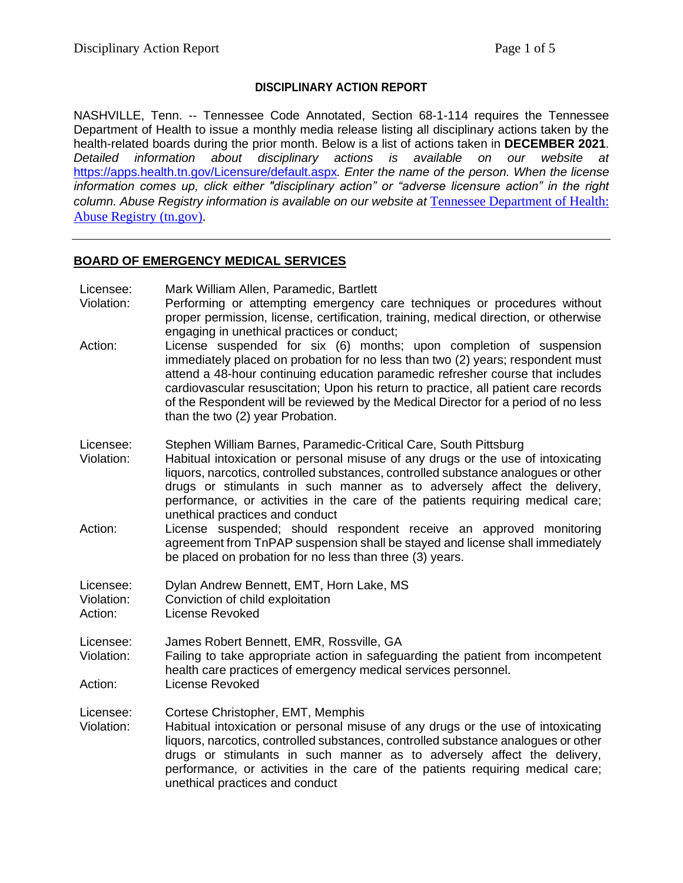## **DISCIPLINARY ACTION REPORT**

NASHVILLE, Tenn. -- Tennessee Code Annotated, Section 68-1-114 requires the Tennessee Department of Health to issue a monthly media release listing all disciplinary actions taken by the health-related boards during the prior month. Below is a list of actions taken in **DECEMBER 2021**. *Detailed information about disciplinary actions is available on our website at*  <https://apps.health.tn.gov/Licensure/default.aspx>*. Enter the name of the person. When the license information comes up, click either "disciplinary action" or "adverse licensure action" in the right column. Abuse Registry information is available on our website at* [Tennessee Department of Health:](https://apps.health.tn.gov/AbuseRegistry/default.aspx)  [Abuse Registry \(tn.gov\).](https://apps.health.tn.gov/AbuseRegistry/default.aspx)

### **BOARD OF EMERGENCY MEDICAL SERVICES**

Licensee: Mark William Allen, Paramedic, Bartlett Violation: Performing or attempting emergency care techniques or procedures without proper permission, license, certification, training, medical direction, or otherwise engaging in unethical practices or conduct; Action: License suspended for six (6) months; upon completion of suspension immediately placed on probation for no less than two (2) years; respondent must attend a 48-hour continuing education paramedic refresher course that includes cardiovascular resuscitation; Upon his return to practice, all patient care records of the Respondent will be reviewed by the Medical Director for a period of no less than the two (2) year Probation. Licensee: Stephen William Barnes, Paramedic-Critical Care, South Pittsburg Violation: Habitual intoxication or personal misuse of any drugs or the use of intoxicating liquors, narcotics, controlled substances, controlled substance analogues or other drugs or stimulants in such manner as to adversely affect the delivery, performance, or activities in the care of the patients requiring medical care; unethical practices and conduct Action: License suspended; should respondent receive an approved monitoring agreement from TnPAP suspension shall be stayed and license shall immediately be placed on probation for no less than three (3) years. Licensee: Dylan Andrew Bennett, EMT, Horn Lake, MS Violation: Conviction of child exploitation Action: License Revoked Licensee: James Robert Bennett, EMR, Rossville, GA Violation: Failing to take appropriate action in safeguarding the patient from incompetent health care practices of emergency medical services personnel. Action: License Revoked Licensee: Cortese Christopher, EMT, Memphis Violation: Habitual intoxication or personal misuse of any drugs or the use of intoxicating liquors, narcotics, controlled substances, controlled substance analogues or other drugs or stimulants in such manner as to adversely affect the delivery, performance, or activities in the care of the patients requiring medical care; unethical practices and conduct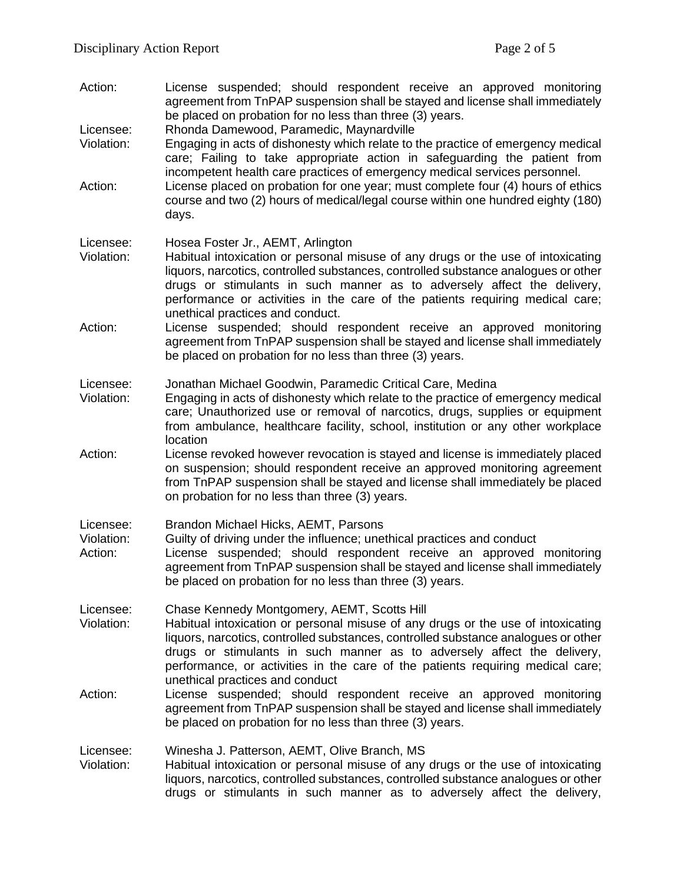Action: License suspended; should respondent receive an approved monitoring agreement from TnPAP suspension shall be stayed and license shall immediately be placed on probation for no less than three (3) years.

Licensee: Rhonda Damewood, Paramedic, Maynardville

- Violation: Engaging in acts of dishonesty which relate to the practice of emergency medical care; Failing to take appropriate action in safeguarding the patient from incompetent health care practices of emergency medical services personnel.
- Action: License placed on probation for one year; must complete four (4) hours of ethics course and two (2) hours of medical/legal course within one hundred eighty (180) days.

| Licensee: |  | Hosea Foster Jr., AEMT, Arlington |  |  |
|-----------|--|-----------------------------------|--|--|
|-----------|--|-----------------------------------|--|--|

- Violation: Habitual intoxication or personal misuse of any drugs or the use of intoxicating liquors, narcotics, controlled substances, controlled substance analogues or other drugs or stimulants in such manner as to adversely affect the delivery, performance or activities in the care of the patients requiring medical care; unethical practices and conduct.
- Action: License suspended; should respondent receive an approved monitoring agreement from TnPAP suspension shall be stayed and license shall immediately be placed on probation for no less than three (3) years.

Licensee: Jonathan Michael Goodwin, Paramedic Critical Care, Medina

- Violation: Engaging in acts of dishonesty which relate to the practice of emergency medical care; Unauthorized use or removal of narcotics, drugs, supplies or equipment from ambulance, healthcare facility, school, institution or any other workplace location
- Action: License revoked however revocation is stayed and license is immediately placed on suspension; should respondent receive an approved monitoring agreement from TnPAP suspension shall be stayed and license shall immediately be placed on probation for no less than three (3) years.
- Licensee: Brandon Michael Hicks, AEMT, Parsons
- Violation: Guilty of driving under the influence; unethical practices and conduct
- Action: License suspended; should respondent receive an approved monitoring agreement from TnPAP suspension shall be stayed and license shall immediately be placed on probation for no less than three (3) years.

Licensee: Chase Kennedy Montgomery, AEMT, Scotts Hill

- Violation: Habitual intoxication or personal misuse of any drugs or the use of intoxicating liquors, narcotics, controlled substances, controlled substance analogues or other drugs or stimulants in such manner as to adversely affect the delivery, performance, or activities in the care of the patients requiring medical care; unethical practices and conduct
- Action: License suspended; should respondent receive an approved monitoring agreement from TnPAP suspension shall be stayed and license shall immediately be placed on probation for no less than three (3) years.

Licensee: Winesha J. Patterson, AEMT, Olive Branch, MS

Violation: Habitual intoxication or personal misuse of any drugs or the use of intoxicating liquors, narcotics, controlled substances, controlled substance analogues or other drugs or stimulants in such manner as to adversely affect the delivery,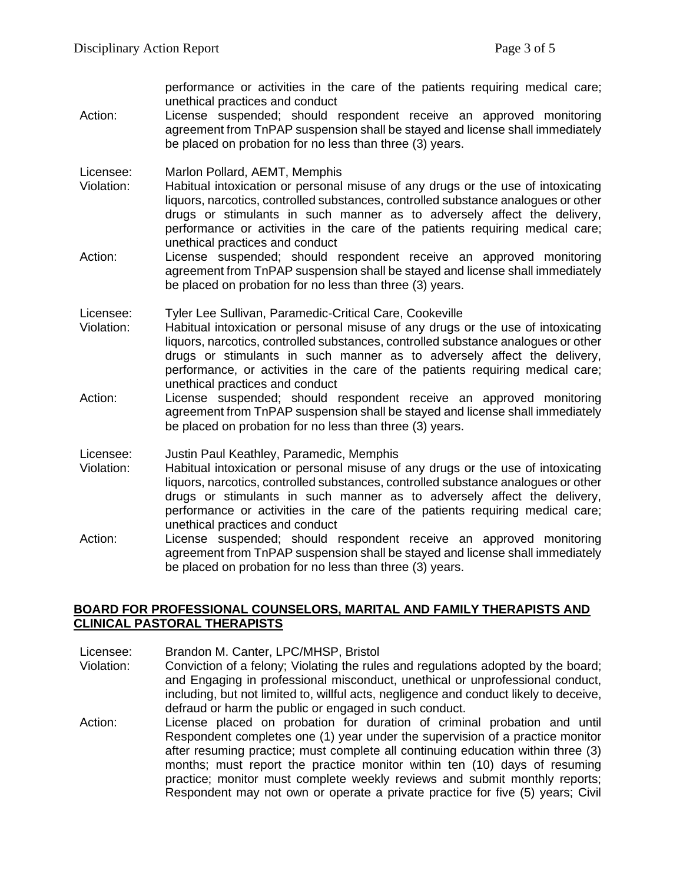performance or activities in the care of the patients requiring medical care; unethical practices and conduct

Action: License suspended; should respondent receive an approved monitoring agreement from TnPAP suspension shall be stayed and license shall immediately be placed on probation for no less than three (3) years.

Licensee: Marlon Pollard, AEMT, Memphis

- Violation: Habitual intoxication or personal misuse of any drugs or the use of intoxicating liquors, narcotics, controlled substances, controlled substance analogues or other drugs or stimulants in such manner as to adversely affect the delivery, performance or activities in the care of the patients requiring medical care; unethical practices and conduct
- Action: License suspended; should respondent receive an approved monitoring agreement from TnPAP suspension shall be stayed and license shall immediately be placed on probation for no less than three (3) years.

Licensee: Tyler Lee Sullivan, Paramedic-Critical Care, Cookeville

- Violation: Habitual intoxication or personal misuse of any drugs or the use of intoxicating liquors, narcotics, controlled substances, controlled substance analogues or other drugs or stimulants in such manner as to adversely affect the delivery, performance, or activities in the care of the patients requiring medical care; unethical practices and conduct
- Action: License suspended; should respondent receive an approved monitoring agreement from TnPAP suspension shall be stayed and license shall immediately be placed on probation for no less than three (3) years.
- Licensee: Justin Paul Keathley, Paramedic, Memphis
- Violation: Habitual intoxication or personal misuse of any drugs or the use of intoxicating liquors, narcotics, controlled substances, controlled substance analogues or other drugs or stimulants in such manner as to adversely affect the delivery, performance or activities in the care of the patients requiring medical care; unethical practices and conduct
- Action: License suspended; should respondent receive an approved monitoring agreement from TnPAP suspension shall be stayed and license shall immediately be placed on probation for no less than three (3) years.

## **BOARD FOR PROFESSIONAL COUNSELORS, MARITAL AND FAMILY THERAPISTS AND CLINICAL PASTORAL THERAPISTS**

Licensee: Brandon M. Canter, LPC/MHSP, Bristol

- Violation: Conviction of a felony; Violating the rules and regulations adopted by the board; and Engaging in professional misconduct, unethical or unprofessional conduct, including, but not limited to, willful acts, negligence and conduct likely to deceive, defraud or harm the public or engaged in such conduct.
- Action: License placed on probation for duration of criminal probation and until Respondent completes one (1) year under the supervision of a practice monitor after resuming practice; must complete all continuing education within three (3) months; must report the practice monitor within ten (10) days of resuming practice; monitor must complete weekly reviews and submit monthly reports; Respondent may not own or operate a private practice for five (5) years; Civil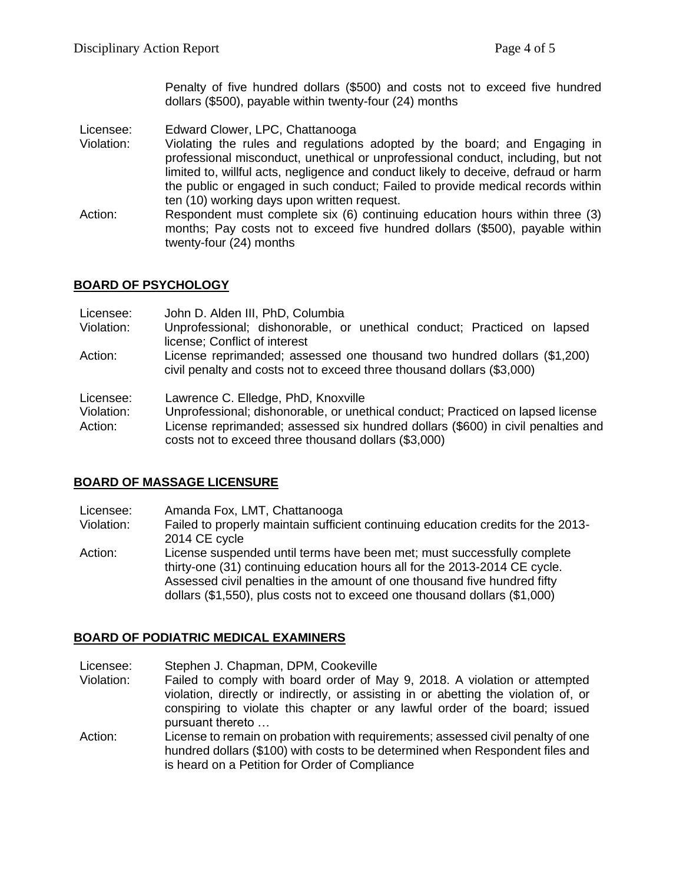Penalty of five hundred dollars (\$500) and costs not to exceed five hundred dollars (\$500), payable within twenty-four (24) months

Licensee: Edward Clower, LPC, Chattanooga

Violation: Violating the rules and regulations adopted by the board; and Engaging in professional misconduct, unethical or unprofessional conduct, including, but not limited to, willful acts, negligence and conduct likely to deceive, defraud or harm the public or engaged in such conduct; Failed to provide medical records within ten (10) working days upon written request.

Action: Respondent must complete six (6) continuing education hours within three (3) months; Pay costs not to exceed five hundred dollars (\$500), payable within twenty-four (24) months

# **BOARD OF PSYCHOLOGY**

| Licensee:               | John D. Alden III, PhD, Columbia                                                                                                                   |
|-------------------------|----------------------------------------------------------------------------------------------------------------------------------------------------|
| Violation:              | Unprofessional; dishonorable, or unethical conduct; Practiced on lapsed<br>license; Conflict of interest                                           |
| Action:                 | License reprimanded; assessed one thousand two hundred dollars (\$1,200)<br>civil penalty and costs not to exceed three thousand dollars (\$3,000) |
| Licensee:<br>Violation: | Lawrence C. Elledge, PhD, Knoxville<br>Unprofessional; dishonorable, or unethical conduct; Practiced on lapsed license                             |
| Action:                 | License reprimanded; assessed six hundred dollars (\$600) in civil penalties and                                                                   |
|                         | costs not to exceed three thousand dollars (\$3,000)                                                                                               |

# **BOARD OF MASSAGE LICENSURE**

Licensee: Amanda Fox, LMT, Chattanooga

Violation: Failed to properly maintain sufficient continuing education credits for the 2013- 2014 CE cycle

Action: License suspended until terms have been met; must successfully complete thirty-one (31) continuing education hours all for the 2013-2014 CE cycle. Assessed civil penalties in the amount of one thousand five hundred fifty dollars (\$1,550), plus costs not to exceed one thousand dollars (\$1,000)

## **BOARD OF PODIATRIC MEDICAL EXAMINERS**

Licensee: Stephen J. Chapman, DPM, Cookeville

- Violation: Failed to comply with board order of May 9, 2018. A violation or attempted violation, directly or indirectly, or assisting in or abetting the violation of, or conspiring to violate this chapter or any lawful order of the board; issued pursuant thereto …
- Action: License to remain on probation with requirements; assessed civil penalty of one hundred dollars (\$100) with costs to be determined when Respondent files and is heard on a Petition for Order of Compliance